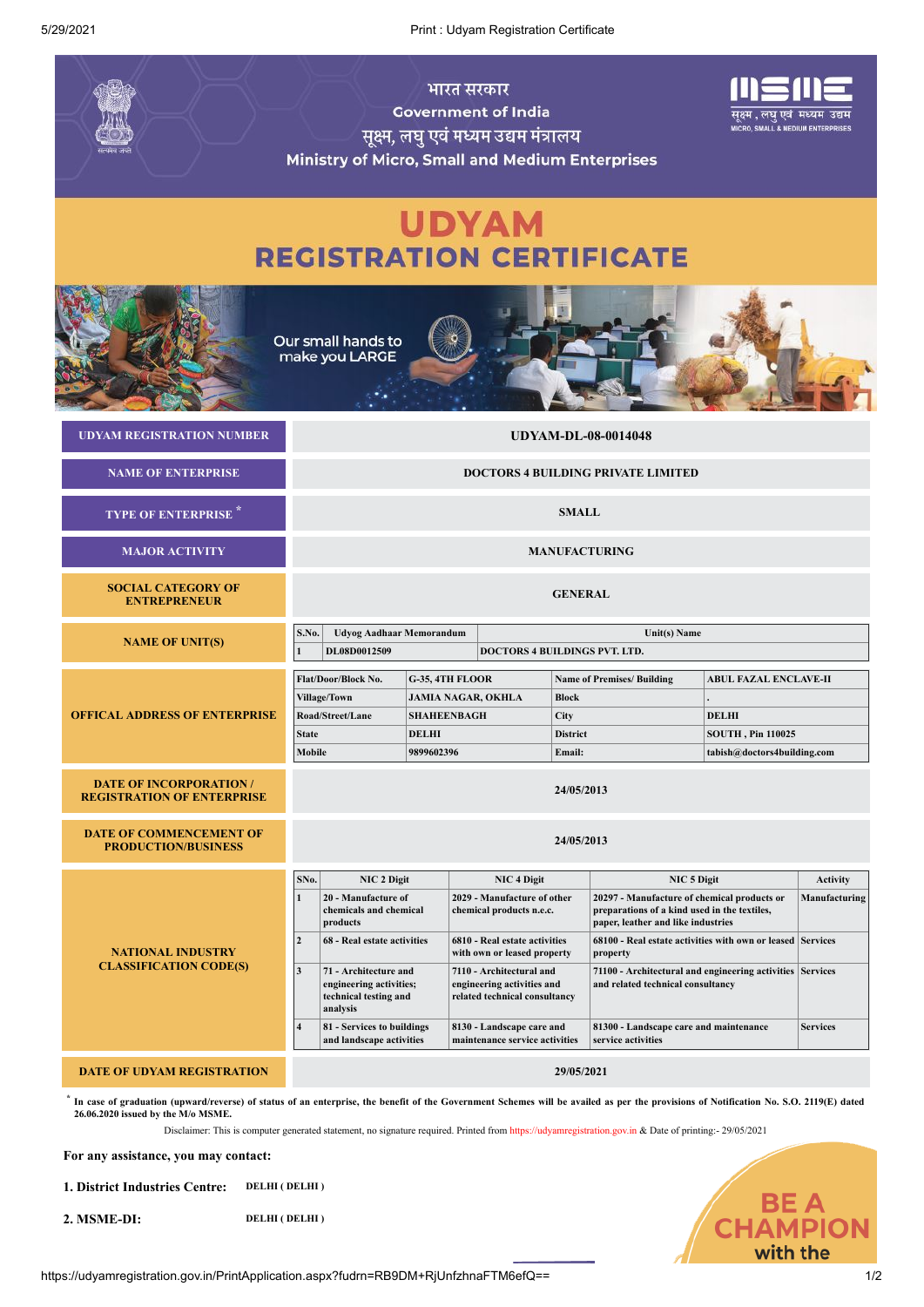5/29/2021 Print : Udyam Registration Certificate

|                                                                                                                                                                                                                                                                                                                                                                                       | भारत सरकार<br><b>Government of India</b><br>सूक्ष्म, लघु एवं मध्यम उद्यम मंत्रालय<br><b>Ministry of Micro, Small and Medium Enterprises</b> |                                                                                       |                                                      |                                                                                         |                                                             |                                                                                                                                   |                                                              | पुक्ष्म , लघु एवं  मध्यम  उद्यम<br><b>MICRO, SMALL &amp; MEDIUM ENTERPRISES</b> |                 |
|---------------------------------------------------------------------------------------------------------------------------------------------------------------------------------------------------------------------------------------------------------------------------------------------------------------------------------------------------------------------------------------|---------------------------------------------------------------------------------------------------------------------------------------------|---------------------------------------------------------------------------------------|------------------------------------------------------|-----------------------------------------------------------------------------------------|-------------------------------------------------------------|-----------------------------------------------------------------------------------------------------------------------------------|--------------------------------------------------------------|---------------------------------------------------------------------------------|-----------------|
| <b>UDYAM</b><br><b>REGISTRATION CERTIFICATE</b>                                                                                                                                                                                                                                                                                                                                       |                                                                                                                                             |                                                                                       |                                                      |                                                                                         |                                                             |                                                                                                                                   |                                                              |                                                                                 |                 |
| Our small hands to<br>make you LARGE                                                                                                                                                                                                                                                                                                                                                  |                                                                                                                                             |                                                                                       |                                                      |                                                                                         |                                                             |                                                                                                                                   |                                                              |                                                                                 |                 |
| <b>UDYAM REGISTRATION NUMBER</b>                                                                                                                                                                                                                                                                                                                                                      | <b>UDYAM-DL-08-0014048</b>                                                                                                                  |                                                                                       |                                                      |                                                                                         |                                                             |                                                                                                                                   |                                                              |                                                                                 |                 |
| <b>NAME OF ENTERPRISE</b>                                                                                                                                                                                                                                                                                                                                                             | <b>DOCTORS 4 BUILDING PRIVATE LIMITED</b>                                                                                                   |                                                                                       |                                                      |                                                                                         |                                                             |                                                                                                                                   |                                                              |                                                                                 |                 |
| <b>TYPE OF ENTERPRISE</b>                                                                                                                                                                                                                                                                                                                                                             | <b>SMALL</b>                                                                                                                                |                                                                                       |                                                      |                                                                                         |                                                             |                                                                                                                                   |                                                              |                                                                                 |                 |
| <b>MAJOR ACTIVITY</b>                                                                                                                                                                                                                                                                                                                                                                 | <b>MANUFACTURING</b>                                                                                                                        |                                                                                       |                                                      |                                                                                         |                                                             |                                                                                                                                   |                                                              |                                                                                 |                 |
| <b>SOCIAL CATEGORY OF</b><br><b>ENTREPRENEUR</b>                                                                                                                                                                                                                                                                                                                                      | <b>GENERAL</b>                                                                                                                              |                                                                                       |                                                      |                                                                                         |                                                             |                                                                                                                                   |                                                              |                                                                                 |                 |
| <b>NAME OF UNIT(S)</b>                                                                                                                                                                                                                                                                                                                                                                | S.No.<br>$\mathbf{1}$                                                                                                                       | <b>Udyog Aadhaar Memorandum</b><br>DL08D0012509                                       | Unit(s) Name<br><b>DOCTORS 4 BUILDINGS PVT. LTD.</b> |                                                                                         |                                                             |                                                                                                                                   |                                                              |                                                                                 |                 |
| <b>OFFICAL ADDRESS OF ENTERPRISE</b>                                                                                                                                                                                                                                                                                                                                                  | Flat/Door/Block No.<br>G-35, 4TH FLOOR                                                                                                      |                                                                                       |                                                      |                                                                                         | <b>Name of Premises/ Building</b>                           |                                                                                                                                   |                                                              | <b>ABUL FAZAL ENCLAVE-II</b>                                                    |                 |
|                                                                                                                                                                                                                                                                                                                                                                                       |                                                                                                                                             | <b>Village/Town</b>                                                                   |                                                      | <b>JAMIA NAGAR, OKHLA</b><br><b>Block</b>                                               |                                                             |                                                                                                                                   |                                                              |                                                                                 |                 |
|                                                                                                                                                                                                                                                                                                                                                                                       |                                                                                                                                             | Road/Street/Lane                                                                      |                                                      | <b>SHAHEENBAGH</b><br>City                                                              |                                                             |                                                                                                                                   | <b>DELHI</b>                                                 |                                                                                 |                 |
|                                                                                                                                                                                                                                                                                                                                                                                       | <b>State</b>                                                                                                                                | <b>DELHI</b>                                                                          |                                                      | <b>District</b>                                                                         |                                                             |                                                                                                                                   | <b>SOUTH, Pin 110025</b>                                     |                                                                                 |                 |
|                                                                                                                                                                                                                                                                                                                                                                                       | Mobile                                                                                                                                      | 9899602396                                                                            |                                                      |                                                                                         | Email:                                                      |                                                                                                                                   |                                                              | tabish@doctors4building.com                                                     |                 |
| <b>DATE OF INCORPORATION /</b><br><b>REGISTRATION OF ENTERPRISE</b>                                                                                                                                                                                                                                                                                                                   | 24/05/2013                                                                                                                                  |                                                                                       |                                                      |                                                                                         |                                                             |                                                                                                                                   |                                                              |                                                                                 |                 |
| <b>DATE OF COMMENCEMENT OF</b><br><b>PRODUCTION/BUSINESS</b>                                                                                                                                                                                                                                                                                                                          | 24/05/2013                                                                                                                                  |                                                                                       |                                                      |                                                                                         |                                                             |                                                                                                                                   |                                                              |                                                                                 |                 |
| <b>NATIONAL INDUSTRY</b><br><b>CLASSIFICATION CODE(S)</b>                                                                                                                                                                                                                                                                                                                             | SNo.                                                                                                                                        | <b>NIC 2 Digit</b>                                                                    |                                                      | <b>NIC 4 Digit</b>                                                                      |                                                             | NIC 5 Digit                                                                                                                       |                                                              | <b>Activity</b>                                                                 |                 |
|                                                                                                                                                                                                                                                                                                                                                                                       | $\mathbf{1}$                                                                                                                                | 20 - Manufacture of<br>chemicals and chemical<br>products                             |                                                      | 2029 - Manufacture of other<br>chemical products n.e.c.                                 |                                                             | 20297 - Manufacture of chemical products or<br>preparations of a kind used in the textiles,<br>paper, leather and like industries |                                                              | Manufacturing                                                                   |                 |
|                                                                                                                                                                                                                                                                                                                                                                                       | $\overline{2}$                                                                                                                              | 68 - Real estate activities                                                           |                                                      | 6810 - Real estate activities<br>with own or leased property                            |                                                             | 68100 - Real estate activities with own or leased Services<br>property                                                            |                                                              |                                                                                 |                 |
|                                                                                                                                                                                                                                                                                                                                                                                       | $\overline{\mathbf{3}}$                                                                                                                     | 71 - Architecture and<br>engineering activities;<br>technical testing and<br>analysis |                                                      | 7110 - Architectural and<br>engineering activities and<br>related technical consultancy |                                                             | 71100 - Architectural and engineering activities Services<br>and related technical consultancy                                    |                                                              |                                                                                 |                 |
|                                                                                                                                                                                                                                                                                                                                                                                       | $\overline{4}$                                                                                                                              | 81 - Services to buildings<br>and landscape activities                                |                                                      |                                                                                         | 8130 - Landscape care and<br>maintenance service activities |                                                                                                                                   | 81300 - Landscape care and maintenance<br>service activities |                                                                                 | <b>Services</b> |
| <b>DATE OF UDYAM REGISTRATION</b>                                                                                                                                                                                                                                                                                                                                                     |                                                                                                                                             |                                                                                       |                                                      |                                                                                         |                                                             | 29/05/2021                                                                                                                        |                                                              |                                                                                 |                 |
| In case of graduation (upward/reverse) of status of an enterprise, the benefit of the Government Schemes will be availed as per the provisions of Notification No. S.O. 2119(E) dated<br>26.06.2020 issued by the M/o MSME.<br>Disclaimer: This is computer generated statement, no signature required. Printed from https://udyamregistration.gov.in & Date of printing:- 29/05/2021 |                                                                                                                                             |                                                                                       |                                                      |                                                                                         |                                                             |                                                                                                                                   |                                                              |                                                                                 |                 |

**For any assistance, you may contact:**

**1. District Industries Centre: DELHI ( DELHI )**

**2. MSME-DI: DELHI ( DELHI )**